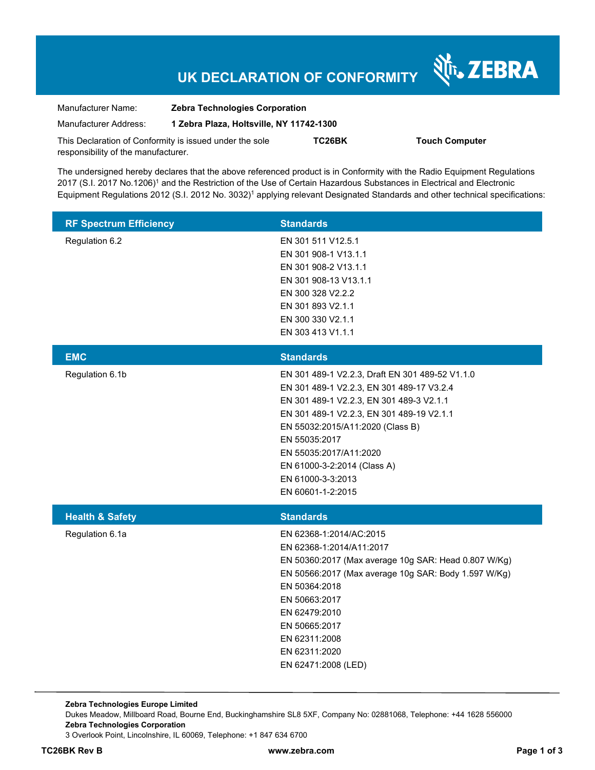# **UK DECLARATION OF CONFORMITY**

Nr. ZEBRA

| Manufacturer Name:                                      | <b>Zebra Technologies Corporation</b>    |        |                       |  |
|---------------------------------------------------------|------------------------------------------|--------|-----------------------|--|
| Manufacturer Address:                                   | 1 Zebra Plaza, Holtsville, NY 11742-1300 |        |                       |  |
| This Declaration of Conformity is issued under the sole |                                          | TC26BK | <b>Touch Computer</b> |  |
| responsibility of the manufacturer.                     |                                          |        |                       |  |

The undersigned hereby declares that the above referenced product is in Conformity with the Radio Equipment Regulations 2017 (S.I. 2017 No.1206)<sup>1</sup> and the Restriction of the Use of Certain Hazardous Substances in Electrical and Electronic Equipment Regulations 2012 (S.I. 2012 No. 3032)<sup>1</sup> applying relevant Designated Standards and other technical specifications:

| <b>RF Spectrum Efficiency</b> | <b>Standards</b>                                                                                                                                                                                                                                                                                                                              |
|-------------------------------|-----------------------------------------------------------------------------------------------------------------------------------------------------------------------------------------------------------------------------------------------------------------------------------------------------------------------------------------------|
| Regulation 6.2                | EN 301 511 V12.5.1<br>EN 301 908-1 V13.1.1<br>EN 301 908-2 V13.1.1<br>EN 301 908-13 V13.1.1<br>EN 300 328 V2.2.2<br>EN 301 893 V2.1.1<br>EN 300 330 V2.1.1<br>EN 303 413 V1.1.1                                                                                                                                                               |
| <b>EMC</b>                    | <b>Standards</b>                                                                                                                                                                                                                                                                                                                              |
| Regulation 6.1b               | EN 301 489-1 V2.2.3, Draft EN 301 489-52 V1.1.0<br>EN 301 489-1 V2.2.3, EN 301 489-17 V3.2.4<br>EN 301 489-1 V2.2.3, EN 301 489-3 V2.1.1<br>EN 301 489-1 V2.2.3, EN 301 489-19 V2.1.1<br>EN 55032:2015/A11:2020 (Class B)<br>EN 55035:2017<br>EN 55035:2017/A11:2020<br>EN 61000-3-2:2014 (Class A)<br>EN 61000-3-3:2013<br>EN 60601-1-2:2015 |
| <b>Health &amp; Safety</b>    | <b>Standards</b>                                                                                                                                                                                                                                                                                                                              |
| Regulation 6.1a               | EN 62368-1:2014/AC:2015<br>EN 62368-1:2014/A11:2017<br>EN 50360:2017 (Max average 10g SAR: Head 0.807 W/Kg)<br>EN 50566:2017 (Max average 10g SAR: Body 1.597 W/Kg)<br>EN 50364:2018<br>EN 50663:2017<br>EN 62479:2010<br>EN 50665:2017<br>EN 62311:2008<br>EN 62311:2020<br>EN 62471:2008 (LED)                                              |

**Zebra Technologies Europe Limited**  Dukes Meadow, Millboard Road, Bourne End, Buckinghamshire SL8 5XF, Company No: 02881068, Telephone: +44 1628 556000 **Zebra Technologies Corporation**  3 Overlook Point, Lincolnshire, IL 60069, Telephone: +1 847 634 6700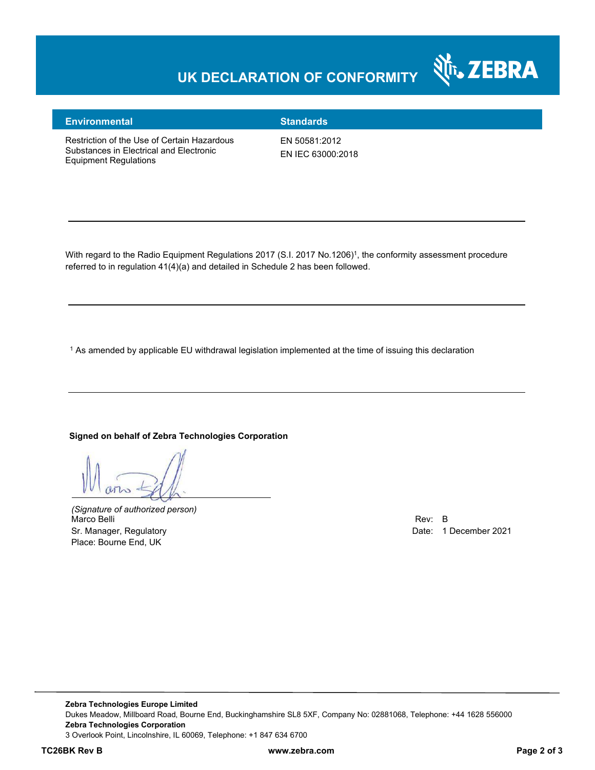## **UK DECLARATION OF CONFORMITY**



#### **Environmental Standards**

Restriction of the Use of Certain Hazardous Substances in Electrical and Electronic Equipment Regulations

EN 50581:2012 EN IEC 63000:2018

With regard to the Radio Equipment Regulations 2017 (S.I. 2017 No.1206)<sup>1</sup>, the conformity assessment procedure referred to in regulation 41(4)(a) and detailed in Schedule 2 has been followed.

 $^{\rm 1}$  As amended by applicable EU withdrawal legislation implemented at the time of issuing this declaration

#### **Signed on behalf of Zebra Technologies Corporation**

*(Signature of authorized person)* Marco Belli Rev: B هات المستوى المستوى المستوى المستوى المستوى المستوى المستوى المستوى المستوى المستوى المستوى المستوى المستوى المستوى المستوى المستوى المستوى المستوى المستوى المستوى المستوى المستوى المستوى المستوى المستوى Sr. Manager, Regulatory **Date: 1 December 2021** Place: Bourne End, UK